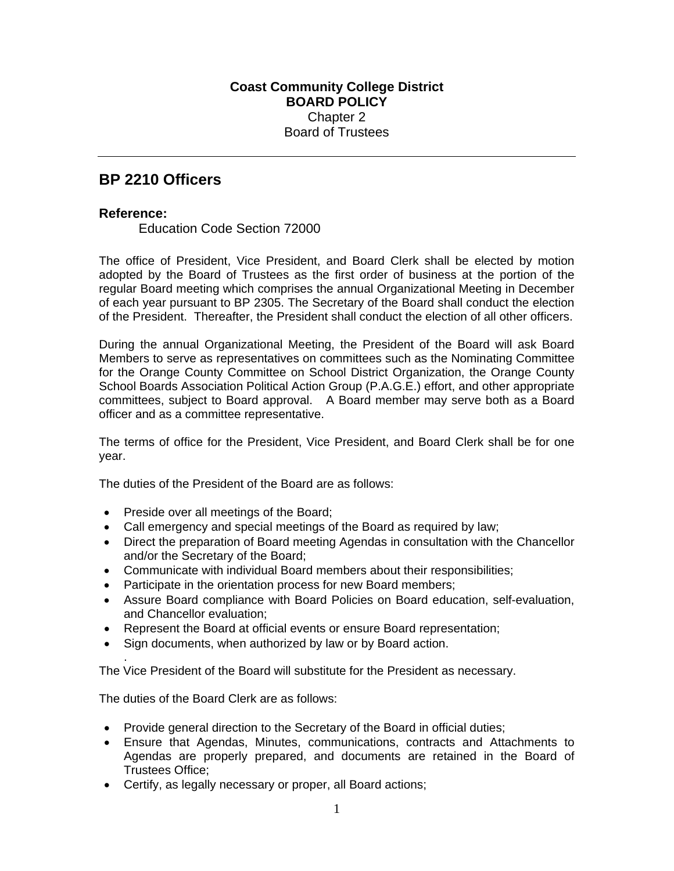## **BP 2210 Officers**

## **Reference:**

.

Education Code Section 72000

The office of President, Vice President, and Board Clerk shall be elected by motion adopted by the Board of Trustees as the first order of business at the portion of the regular Board meeting which comprises the annual Organizational Meeting in December of each year pursuant to BP 2305. The Secretary of the Board shall conduct the election of the President. Thereafter, the President shall conduct the election of all other officers.

During the annual Organizational Meeting, the President of the Board will ask Board Members to serve as representatives on committees such as the Nominating Committee for the Orange County Committee on School District Organization, the Orange County School Boards Association Political Action Group (P.A.G.E.) effort, and other appropriate committees, subject to Board approval. A Board member may serve both as a Board officer and as a committee representative.

The terms of office for the President, Vice President, and Board Clerk shall be for one year.

The duties of the President of the Board are as follows:

- Preside over all meetings of the Board;
- Call emergency and special meetings of the Board as required by law;
- Direct the preparation of Board meeting Agendas in consultation with the Chancellor and/or the Secretary of the Board;
- Communicate with individual Board members about their responsibilities;
- Participate in the orientation process for new Board members;
- Assure Board compliance with Board Policies on Board education, self-evaluation, and Chancellor evaluation;
- Represent the Board at official events or ensure Board representation;
- Sign documents, when authorized by law or by Board action.

The Vice President of the Board will substitute for the President as necessary.

The duties of the Board Clerk are as follows:

- Provide general direction to the Secretary of the Board in official duties;
- Ensure that Agendas, Minutes, communications, contracts and Attachments to Agendas are properly prepared, and documents are retained in the Board of Trustees Office;
- Certify, as legally necessary or proper, all Board actions;